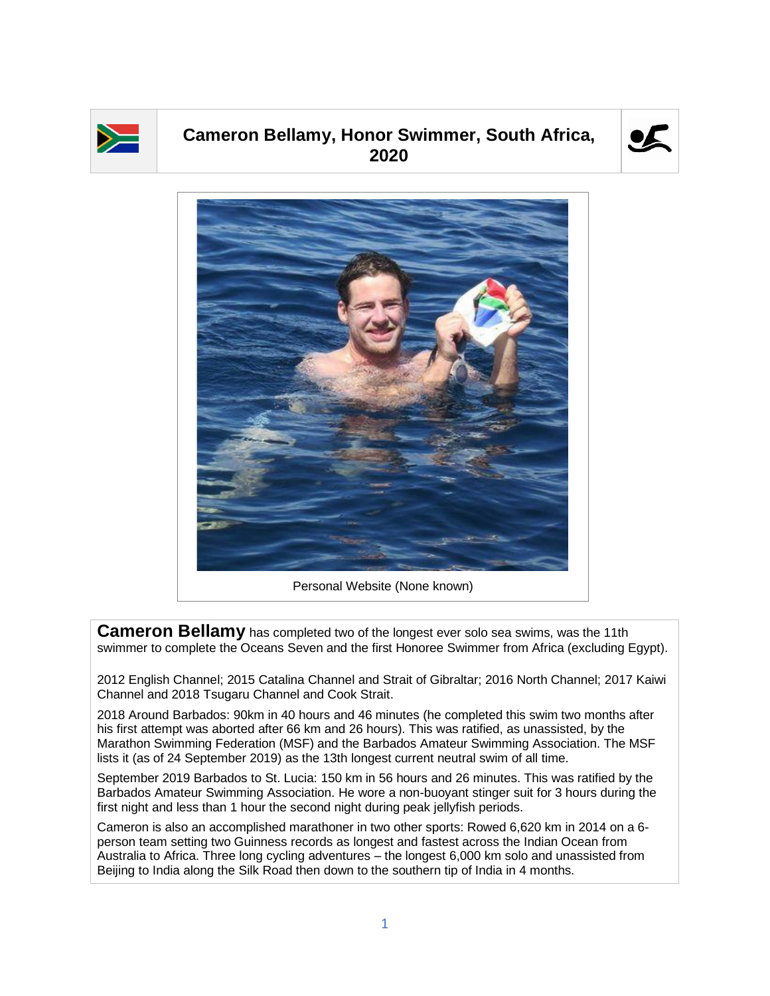

## **Cameron Bellamy, Honor Swimmer, South Africa, 2020**





**Cameron Bellamy** has completed two of the longest ever solo sea swims, was the 11th swimmer to complete the Oceans Seven and the first Honoree Swimmer from Africa (excluding Egypt).

2012 English Channel; 2015 Catalina Channel and Strait of Gibraltar; 2016 North Channel; 2017 Kaiwi Channel and 2018 Tsugaru Channel and Cook Strait.

2018 Around Barbados: 90km in 40 hours and 46 minutes (he completed this swim two months after his first attempt was aborted after 66 km and 26 hours). This was ratified, as unassisted, by the Marathon Swimming Federation (MSF) and the Barbados Amateur Swimming Association. The MSF lists it (as of 24 September 2019) as the 13th longest current neutral swim of all time.

September 2019 Barbados to St. Lucia: 150 km in 56 hours and 26 minutes. This was ratified by the Barbados Amateur Swimming Association. He wore a non-buoyant stinger suit for 3 hours during the first night and less than 1 hour the second night during peak jellyfish periods.

Cameron is also an accomplished marathoner in two other sports: Rowed 6,620 km in 2014 on a 6 person team setting two Guinness records as longest and fastest across the Indian Ocean from Australia to Africa. Three long cycling adventures – the longest 6,000 km solo and unassisted from Beijing to India along the Silk Road then down to the southern tip of India in 4 months.